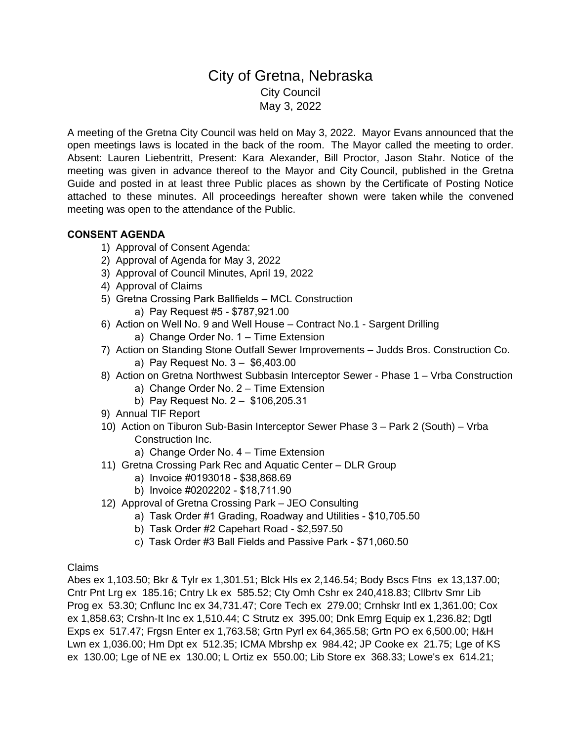# City of Gretna, Nebraska City Council May 3, 2022

A meeting of the Gretna City Council was held on May 3, 2022. Mayor Evans announced that the open meetings laws is located in the back of the room. The Mayor called the meeting to order. Absent: Lauren Liebentritt, Present: Kara Alexander, Bill Proctor, Jason Stahr. Notice of the meeting was given in advance thereof to the Mayor and City Council, published in the Gretna Guide and posted in at least three Public places as shown by the Certificate of Posting Notice attached to these minutes. All proceedings hereafter shown were taken while the convened meeting was open to the attendance of the Public.

### **CONSENT AGENDA**

- 1) Approval of Consent Agenda:
- 2) Approval of Agenda for May 3, 2022
- 3) Approval of Council Minutes, April 19, 2022
- 4) Approval of Claims
- 5) Gretna Crossing Park Ballfields MCL Construction a) Pay Request #5 - \$787,921.00
- 6) Action on Well No. 9 and Well House Contract No.1 Sargent Drilling a) Change Order No. 1 – Time Extension
- 7) Action on Standing Stone Outfall Sewer Improvements Judds Bros. Construction Co. a) Pay Request No. 3 – \$6,403.00
- 8) Action on Gretna Northwest Subbasin Interceptor Sewer Phase 1 Vrba Construction
	- a) Change Order No. 2 Time Extension
	- b) Pay Request No. 2 \$106,205.31
- 9) Annual TIF Report
- 10) Action on Tiburon Sub-Basin Interceptor Sewer Phase 3 Park 2 (South) Vrba Construction Inc.
	- a) Change Order No. 4 Time Extension
- 11) Gretna Crossing Park Rec and Aquatic Center DLR Group
	- a) Invoice #0193018 \$38,868.69
	- b) Invoice #0202202 \$18,711.90
- 12) Approval of Gretna Crossing Park JEO Consulting
	- a) Task Order #1 Grading, Roadway and Utilities \$10,705.50
	- b) Task Order #2 Capehart Road \$2,597.50
	- c) Task Order #3 Ball Fields and Passive Park \$71,060.50

#### Claims

Abes ex 1,103.50; Bkr & Tylr ex 1,301.51; Blck Hls ex 2,146.54; Body Bscs Ftns ex 13,137.00; Cntr Pnt Lrg ex 185.16; Cntry Lk ex 585.52; Cty Omh Cshr ex 240,418.83; Cllbrtv Smr Lib Prog ex 53.30; Cnflunc Inc ex 34,731.47; Core Tech ex 279.00; Crnhskr Intl ex 1,361.00; Cox ex 1,858.63; Crshn-It Inc ex 1,510.44; C Strutz ex 395.00; Dnk Emrg Equip ex 1,236.82; Dgtl Exps ex 517.47; Frgsn Enter ex 1,763.58; Grtn Pyrl ex 64,365.58; Grtn PO ex 6,500.00; H&H Lwn ex 1,036.00; Hm Dpt ex 512.35; ICMA Mbrshp ex 984.42; JP Cooke ex 21.75; Lge of KS ex 130.00; Lge of NE ex 130.00; L Ortiz ex 550.00; Lib Store ex 368.33; Lowe's ex 614.21;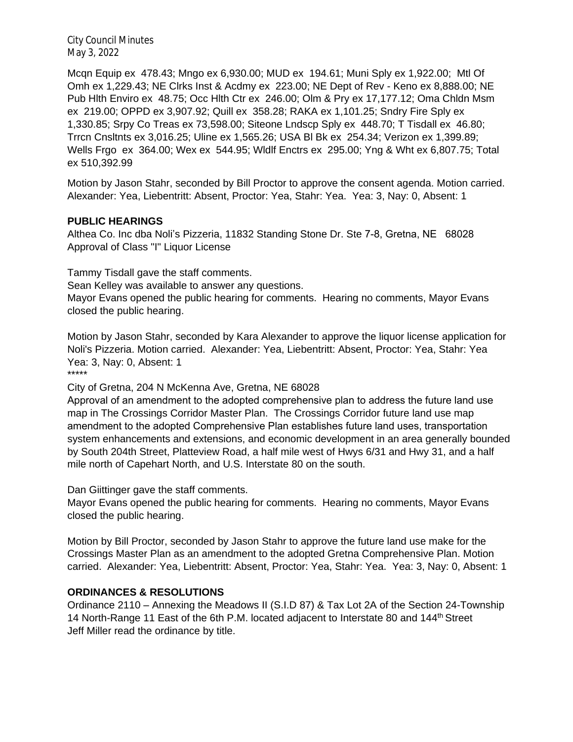Mcqn Equip ex 478.43; Mngo ex 6,930.00; MUD ex 194.61; Muni Sply ex 1,922.00; Mtl Of Omh ex 1,229.43; NE Clrks Inst & Acdmy ex 223.00; NE Dept of Rev - Keno ex 8,888.00; NE Pub Hlth Enviro ex 48.75; Occ Hlth Ctr ex 246.00; Olm & Pry ex 17,177.12; Oma Chldn Msm ex 219.00; OPPD ex 3,907.92; Quill ex 358.28; RAKA ex 1,101.25; Sndry Fire Sply ex 1,330.85; Srpy Co Treas ex 73,598.00; Siteone Lndscp Sply ex 448.70; T Tisdall ex 46.80; Trrcn Cnsltnts ex 3,016.25; Uline ex 1,565.26; USA Bl Bk ex 254.34; Verizon ex 1,399.89; Wells Frgo ex 364.00; Wex ex 544.95; Wldlf Enctrs ex 295.00; Yng & Wht ex 6,807.75; Total ex 510,392.99

Motion by Jason Stahr, seconded by Bill Proctor to approve the consent agenda. Motion carried. Alexander: Yea, Liebentritt: Absent, Proctor: Yea, Stahr: Yea. Yea: 3, Nay: 0, Absent: 1

#### **PUBLIC HEARINGS**

Althea Co. Inc dba Noli's Pizzeria, 11832 Standing Stone Dr. Ste 7-8, Gretna, NE 68028 Approval of Class "I" Liquor License

Tammy Tisdall gave the staff comments.

Sean Kelley was available to answer any questions.

Mayor Evans opened the public hearing for comments. Hearing no comments, Mayor Evans closed the public hearing.

Motion by Jason Stahr, seconded by Kara Alexander to approve the liquor license application for Noli's Pizzeria. Motion carried. Alexander: Yea, Liebentritt: Absent, Proctor: Yea, Stahr: Yea Yea: 3, Nay: 0, Absent: 1 \*\*\*\*\*

City of Gretna, 204 N McKenna Ave, Gretna, NE 68028

Approval of an amendment to the adopted comprehensive plan to address the future land use map in The Crossings Corridor Master Plan. The Crossings Corridor future land use map amendment to the adopted Comprehensive Plan establishes future land uses, transportation system enhancements and extensions, and economic development in an area generally bounded by South 204th Street, Platteview Road, a half mile west of Hwys 6/31 and Hwy 31, and a half mile north of Capehart North, and U.S. Interstate 80 on the south.

Dan Giittinger gave the staff comments.

Mayor Evans opened the public hearing for comments. Hearing no comments, Mayor Evans closed the public hearing.

Motion by Bill Proctor, seconded by Jason Stahr to approve the future land use make for the Crossings Master Plan as an amendment to the adopted Gretna Comprehensive Plan. Motion carried. Alexander: Yea, Liebentritt: Absent, Proctor: Yea, Stahr: Yea. Yea: 3, Nay: 0, Absent: 1

#### **ORDINANCES & RESOLUTIONS**

Ordinance 2110 – Annexing the Meadows II (S.I.D 87) & Tax Lot 2A of the Section 24-Township 14 North-Range 11 East of the 6th P.M. located adjacent to Interstate 80 and 144<sup>th</sup> Street Jeff Miller read the ordinance by title.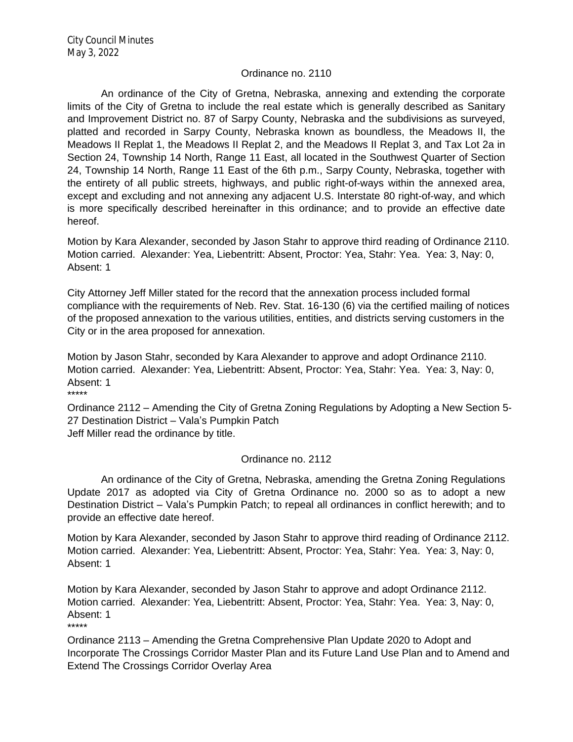#### Ordinance no. 2110

An ordinance of the City of Gretna, Nebraska, annexing and extending the corporate limits of the City of Gretna to include the real estate which is generally described as Sanitary and Improvement District no. 87 of Sarpy County, Nebraska and the subdivisions as surveyed, platted and recorded in Sarpy County, Nebraska known as boundless, the Meadows II, the Meadows II Replat 1, the Meadows II Replat 2, and the Meadows II Replat 3, and Tax Lot 2a in Section 24, Township 14 North, Range 11 East, all located in the Southwest Quarter of Section 24, Township 14 North, Range 11 East of the 6th p.m., Sarpy County, Nebraska, together with the entirety of all public streets, highways, and public right-of-ways within the annexed area, except and excluding and not annexing any adjacent U.S. Interstate 80 right-of-way, and which is more specifically described hereinafter in this ordinance; and to provide an effective date hereof.

Motion by Kara Alexander, seconded by Jason Stahr to approve third reading of Ordinance 2110. Motion carried. Alexander: Yea, Liebentritt: Absent, Proctor: Yea, Stahr: Yea. Yea: 3, Nay: 0, Absent: 1

City Attorney Jeff Miller stated for the record that the annexation process included formal compliance with the requirements of Neb. Rev. Stat. 16-130 (6) via the certified mailing of notices of the proposed annexation to the various utilities, entities, and districts serving customers in the City or in the area proposed for annexation.

Motion by Jason Stahr, seconded by Kara Alexander to approve and adopt Ordinance 2110. Motion carried. Alexander: Yea, Liebentritt: Absent, Proctor: Yea, Stahr: Yea. Yea: 3, Nay: 0, Absent: 1 \*\*\*\*\*

Ordinance 2112 – Amending the City of Gretna Zoning Regulations by Adopting a New Section 5- 27 Destination District – Vala's Pumpkin Patch Jeff Miller read the ordinance by title.

#### Ordinance no. 2112

An ordinance of the City of Gretna, Nebraska, amending the Gretna Zoning Regulations Update 2017 as adopted via City of Gretna Ordinance no. 2000 so as to adopt a new Destination District – Vala's Pumpkin Patch; to repeal all ordinances in conflict herewith; and to provide an effective date hereof.

Motion by Kara Alexander, seconded by Jason Stahr to approve third reading of Ordinance 2112. Motion carried. Alexander: Yea, Liebentritt: Absent, Proctor: Yea, Stahr: Yea. Yea: 3, Nay: 0, Absent: 1

Motion by Kara Alexander, seconded by Jason Stahr to approve and adopt Ordinance 2112. Motion carried. Alexander: Yea, Liebentritt: Absent, Proctor: Yea, Stahr: Yea. Yea: 3, Nay: 0, Absent: 1 \*\*\*\*\*

Ordinance 2113 – Amending the Gretna Comprehensive Plan Update 2020 to Adopt and Incorporate The Crossings Corridor Master Plan and its Future Land Use Plan and to Amend and Extend The Crossings Corridor Overlay Area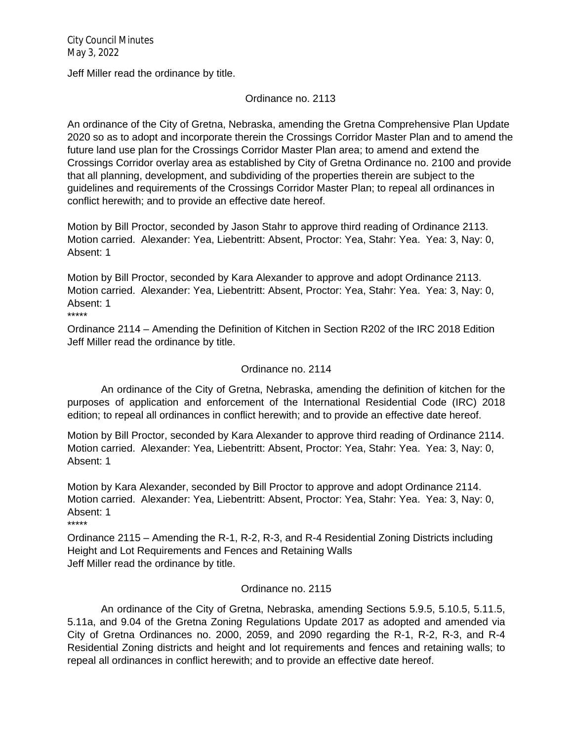Jeff Miller read the ordinance by title.

Ordinance no. 2113

An ordinance of the City of Gretna, Nebraska, amending the Gretna Comprehensive Plan Update 2020 so as to adopt and incorporate therein the Crossings Corridor Master Plan and to amend the future land use plan for the Crossings Corridor Master Plan area; to amend and extend the Crossings Corridor overlay area as established by City of Gretna Ordinance no. 2100 and provide that all planning, development, and subdividing of the properties therein are subject to the guidelines and requirements of the Crossings Corridor Master Plan; to repeal all ordinances in conflict herewith; and to provide an effective date hereof.

Motion by Bill Proctor, seconded by Jason Stahr to approve third reading of Ordinance 2113. Motion carried. Alexander: Yea, Liebentritt: Absent, Proctor: Yea, Stahr: Yea. Yea: 3, Nay: 0, Absent: 1

Motion by Bill Proctor, seconded by Kara Alexander to approve and adopt Ordinance 2113. Motion carried. Alexander: Yea, Liebentritt: Absent, Proctor: Yea, Stahr: Yea. Yea: 3, Nay: 0, Absent: 1

\*\*\*\*\*

Ordinance 2114 – Amending the Definition of Kitchen in Section R202 of the IRC 2018 Edition Jeff Miller read the ordinance by title.

#### Ordinance no. 2114

An ordinance of the City of Gretna, Nebraska, amending the definition of kitchen for the purposes of application and enforcement of the International Residential Code (IRC) 2018 edition; to repeal all ordinances in conflict herewith; and to provide an effective date hereof.

Motion by Bill Proctor, seconded by Kara Alexander to approve third reading of Ordinance 2114. Motion carried. Alexander: Yea, Liebentritt: Absent, Proctor: Yea, Stahr: Yea. Yea: 3, Nay: 0, Absent: 1

Motion by Kara Alexander, seconded by Bill Proctor to approve and adopt Ordinance 2114. Motion carried. Alexander: Yea, Liebentritt: Absent, Proctor: Yea, Stahr: Yea. Yea: 3, Nay: 0, Absent: 1 \*\*\*\*\*

Ordinance 2115 – Amending the R-1, R-2, R-3, and R-4 Residential Zoning Districts including Height and Lot Requirements and Fences and Retaining Walls Jeff Miller read the ordinance by title.

#### Ordinance no. 2115

An ordinance of the City of Gretna, Nebraska, amending Sections 5.9.5, 5.10.5, 5.11.5, 5.11a, and 9.04 of the Gretna Zoning Regulations Update 2017 as adopted and amended via City of Gretna Ordinances no. 2000, 2059, and 2090 regarding the R-1, R-2, R-3, and R-4 Residential Zoning districts and height and lot requirements and fences and retaining walls; to repeal all ordinances in conflict herewith; and to provide an effective date hereof.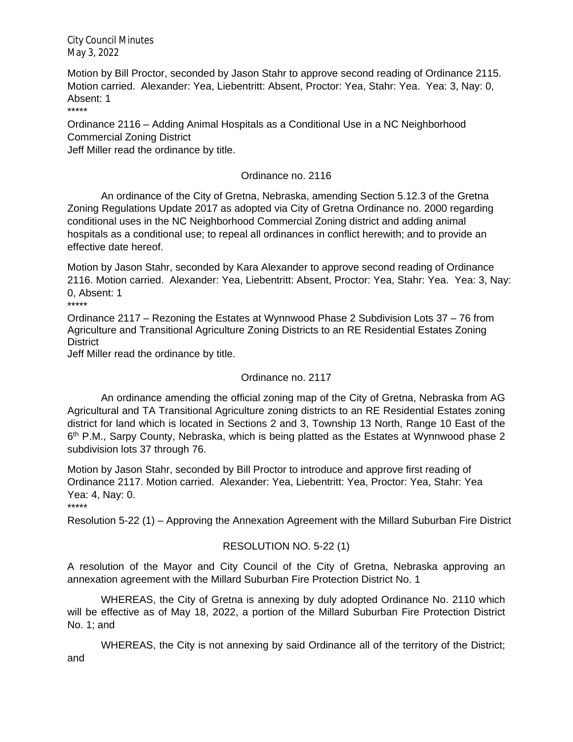Motion by Bill Proctor, seconded by Jason Stahr to approve second reading of Ordinance 2115. Motion carried. Alexander: Yea, Liebentritt: Absent, Proctor: Yea, Stahr: Yea. Yea: 3, Nay: 0, Absent: 1

\*\*\*\*\*

Ordinance 2116 – Adding Animal Hospitals as a Conditional Use in a NC Neighborhood Commercial Zoning District

Jeff Miller read the ordinance by title.

## Ordinance no. 2116

An ordinance of the City of Gretna, Nebraska, amending Section 5.12.3 of the Gretna Zoning Regulations Update 2017 as adopted via City of Gretna Ordinance no. 2000 regarding conditional uses in the NC Neighborhood Commercial Zoning district and adding animal hospitals as a conditional use; to repeal all ordinances in conflict herewith; and to provide an effective date hereof.

Motion by Jason Stahr, seconded by Kara Alexander to approve second reading of Ordinance 2116. Motion carried. Alexander: Yea, Liebentritt: Absent, Proctor: Yea, Stahr: Yea. Yea: 3, Nay: 0, Absent: 1 \*\*\*\*\*

Ordinance 2117 – Rezoning the Estates at Wynnwood Phase 2 Subdivision Lots 37 – 76 from Agriculture and Transitional Agriculture Zoning Districts to an RE Residential Estates Zoning **District** 

Jeff Miller read the ordinance by title.

## Ordinance no. 2117

An ordinance amending the official zoning map of the City of Gretna, Nebraska from AG Agricultural and TA Transitional Agriculture zoning districts to an RE Residential Estates zoning district for land which is located in Sections 2 and 3, Township 13 North, Range 10 East of the 6<sup>th</sup> P.M., Sarpy County, Nebraska, which is being platted as the Estates at Wynnwood phase 2 subdivision lots 37 through 76.

Motion by Jason Stahr, seconded by Bill Proctor to introduce and approve first reading of Ordinance 2117. Motion carried. Alexander: Yea, Liebentritt: Yea, Proctor: Yea, Stahr: Yea Yea: 4, Nay: 0.

\*\*\*\*\*

Resolution 5-22 (1) – Approving the Annexation Agreement with the Millard Suburban Fire District

## RESOLUTION NO. 5-22 (1)

A resolution of the Mayor and City Council of the City of Gretna, Nebraska approving an annexation agreement with the Millard Suburban Fire Protection District No. 1

WHEREAS, the City of Gretna is annexing by duly adopted Ordinance No. 2110 which will be effective as of May 18, 2022, a portion of the Millard Suburban Fire Protection District No. 1; and

WHEREAS, the City is not annexing by said Ordinance all of the territory of the District; and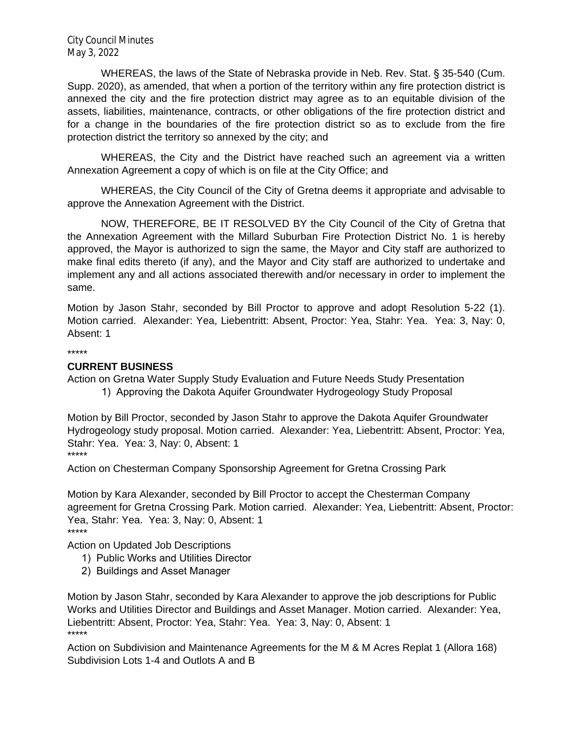WHEREAS, the laws of the State of Nebraska provide in Neb. Rev. Stat. § 35-540 (Cum. Supp. 2020), as amended, that when a portion of the territory within any fire protection district is annexed the city and the fire protection district may agree as to an equitable division of the assets, liabilities, maintenance, contracts, or other obligations of the fire protection district and for a change in the boundaries of the fire protection district so as to exclude from the fire protection district the territory so annexed by the city; and

WHEREAS, the City and the District have reached such an agreement via a written Annexation Agreement a copy of which is on file at the City Office; and

WHEREAS, the City Council of the City of Gretna deems it appropriate and advisable to approve the Annexation Agreement with the District.

NOW, THEREFORE, BE IT RESOLVED BY the City Council of the City of Gretna that the Annexation Agreement with the Millard Suburban Fire Protection District No. 1 is hereby approved, the Mayor is authorized to sign the same, the Mayor and City staff are authorized to make final edits thereto (if any), and the Mayor and City staff are authorized to undertake and implement any and all actions associated therewith and/or necessary in order to implement the same.

Motion by Jason Stahr, seconded by Bill Proctor to approve and adopt Resolution 5-22 (1). Motion carried. Alexander: Yea, Liebentritt: Absent, Proctor: Yea, Stahr: Yea. Yea: 3, Nay: 0, Absent: 1

\*\*\*\*\*

#### **CURRENT BUSINESS**

Action on Gretna Water Supply Study Evaluation and Future Needs Study Presentation

1) Approving the Dakota Aquifer Groundwater Hydrogeology Study Proposal

Motion by Bill Proctor, seconded by Jason Stahr to approve the Dakota Aquifer Groundwater Hydrogeology study proposal. Motion carried. Alexander: Yea, Liebentritt: Absent, Proctor: Yea, Stahr: Yea. Yea: 3, Nay: 0, Absent: 1 \*\*\*\*\*

Action on Chesterman Company Sponsorship Agreement for Gretna Crossing Park

Motion by Kara Alexander, seconded by Bill Proctor to accept the Chesterman Company agreement for Gretna Crossing Park. Motion carried. Alexander: Yea, Liebentritt: Absent, Proctor: Yea, Stahr: Yea. Yea: 3, Nay: 0, Absent: 1 \*\*\*\*\*

Action on Updated Job Descriptions

- 1) Public Works and Utilities Director
- 2) Buildings and Asset Manager

Motion by Jason Stahr, seconded by Kara Alexander to approve the job descriptions for Public Works and Utilities Director and Buildings and Asset Manager. Motion carried. Alexander: Yea, Liebentritt: Absent, Proctor: Yea, Stahr: Yea. Yea: 3, Nay: 0, Absent: 1 \*\*\*\*\*

Action on Subdivision and Maintenance Agreements for the M & M Acres Replat 1 (Allora 168) Subdivision Lots 1-4 and Outlots A and B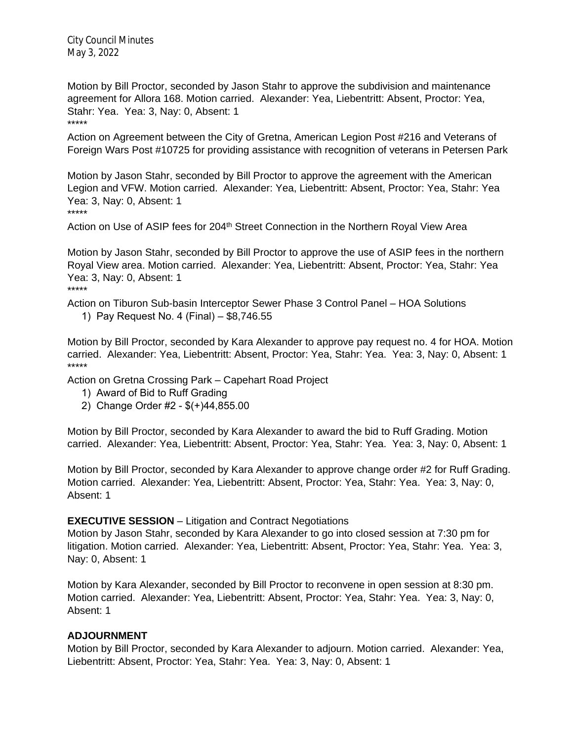Motion by Bill Proctor, seconded by Jason Stahr to approve the subdivision and maintenance agreement for Allora 168. Motion carried. Alexander: Yea, Liebentritt: Absent, Proctor: Yea, Stahr: Yea. Yea: 3, Nay: 0, Absent: 1 \*\*\*\*\*

Action on Agreement between the City of Gretna, American Legion Post #216 and Veterans of Foreign Wars Post #10725 for providing assistance with recognition of veterans in Petersen Park

Motion by Jason Stahr, seconded by Bill Proctor to approve the agreement with the American Legion and VFW. Motion carried. Alexander: Yea, Liebentritt: Absent, Proctor: Yea, Stahr: Yea Yea: 3, Nay: 0, Absent: 1 \*\*\*\*\*

Action on Use of ASIP fees for 204<sup>th</sup> Street Connection in the Northern Royal View Area

Motion by Jason Stahr, seconded by Bill Proctor to approve the use of ASIP fees in the northern Royal View area. Motion carried. Alexander: Yea, Liebentritt: Absent, Proctor: Yea, Stahr: Yea Yea: 3, Nay: 0, Absent: 1

\*\*\*\*\*

Action on Tiburon Sub-basin Interceptor Sewer Phase 3 Control Panel – HOA Solutions

1) Pay Request No. 4 (Final) – \$8,746.55

Motion by Bill Proctor, seconded by Kara Alexander to approve pay request no. 4 for HOA. Motion carried. Alexander: Yea, Liebentritt: Absent, Proctor: Yea, Stahr: Yea. Yea: 3, Nay: 0, Absent: 1 \*\*\*\*\*

Action on Gretna Crossing Park – Capehart Road Project

- 1) Award of Bid to Ruff Grading
- 2) Change Order #2 \$(+)44,855.00

Motion by Bill Proctor, seconded by Kara Alexander to award the bid to Ruff Grading. Motion carried. Alexander: Yea, Liebentritt: Absent, Proctor: Yea, Stahr: Yea. Yea: 3, Nay: 0, Absent: 1

Motion by Bill Proctor, seconded by Kara Alexander to approve change order #2 for Ruff Grading. Motion carried. Alexander: Yea, Liebentritt: Absent, Proctor: Yea, Stahr: Yea. Yea: 3, Nay: 0, Absent: 1

#### **EXECUTIVE SESSION** – Litigation and Contract Negotiations

Motion by Jason Stahr, seconded by Kara Alexander to go into closed session at 7:30 pm for litigation. Motion carried. Alexander: Yea, Liebentritt: Absent, Proctor: Yea, Stahr: Yea. Yea: 3, Nay: 0, Absent: 1

Motion by Kara Alexander, seconded by Bill Proctor to reconvene in open session at 8:30 pm. Motion carried. Alexander: Yea, Liebentritt: Absent, Proctor: Yea, Stahr: Yea. Yea: 3, Nay: 0, Absent: 1

## **ADJOURNMENT**

Motion by Bill Proctor, seconded by Kara Alexander to adjourn. Motion carried. Alexander: Yea, Liebentritt: Absent, Proctor: Yea, Stahr: Yea. Yea: 3, Nay: 0, Absent: 1